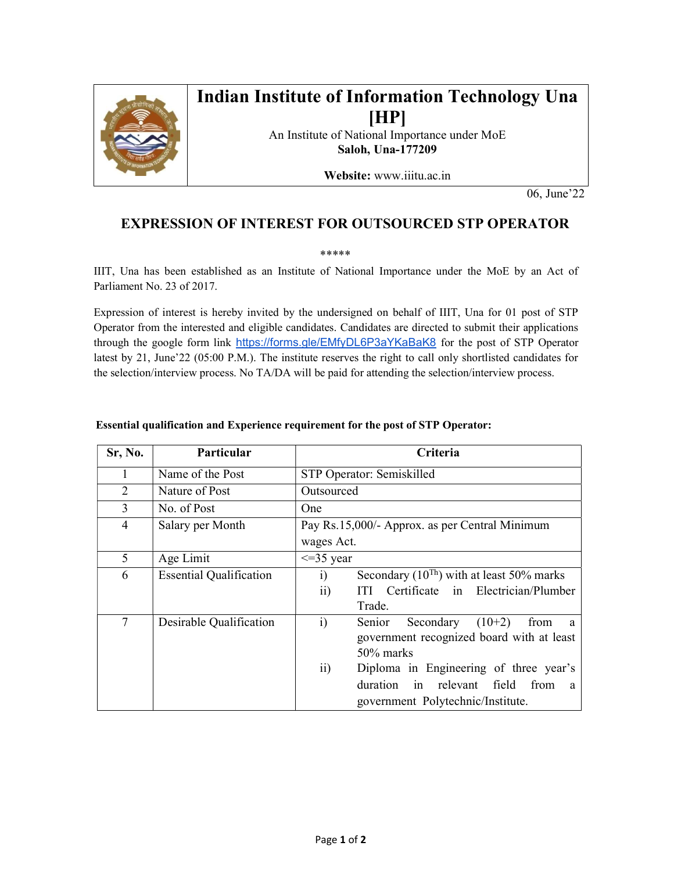

## Indian Institute of Information Technology Una [HP]

An Institute of National Importance under MoE Saloh, Una-177209

Website: www.iiitu.ac.in

06, June'22

## EXPRESSION OF INTEREST FOR OUTSOURCED STP OPERATOR

\*\*\*\*\*

IIIT, Una has been established as an Institute of National Importance under the MoE by an Act of Parliament No. 23 of 2017.

Expression of interest is hereby invited by the undersigned on behalf of IIIT, Una for 01 post of STP Operator from the interested and eligible candidates. Candidates are directed to submit their applications through the google form link https://forms.gle/EMfyDL6P3aYKaBaK8 for the post of STP Operator latest by 21, June'22 (05:00 P.M.). The institute reserves the right to call only shortlisted candidates for the selection/interview process. No TA/DA will be paid for attending the selection/interview process.

| Sr, No. | Particular                     | Criteria                                                            |  |
|---------|--------------------------------|---------------------------------------------------------------------|--|
| 1       | Name of the Post               | STP Operator: Semiskilled                                           |  |
| 2       | Nature of Post                 | Outsourced                                                          |  |
| 3       | No. of Post                    | One                                                                 |  |
| 4       | Salary per Month               | Pay Rs.15,000/- Approx. as per Central Minimum                      |  |
|         |                                | wages Act.                                                          |  |
| 5       | Age Limit                      | $\leq$ 35 year                                                      |  |
| 6       | <b>Essential Qualification</b> | Secondary $(10^{Th})$ with at least 50% marks<br>$\ddot{i}$         |  |
|         |                                | Certificate in Electrician/Plumber<br>$\overline{11}$<br><b>TTI</b> |  |
|         |                                | Trade.                                                              |  |
| 7       | Desirable Qualification        | $\ddot{1}$<br>$(10+2)$<br>Senior<br>Secondary<br>from<br>a.         |  |
|         |                                | government recognized board with at least                           |  |
|         |                                | 50% marks                                                           |  |
|         |                                | $\overline{11}$<br>Diploma in Engineering of three year's           |  |
|         |                                | in relevant field from a<br>duration                                |  |
|         |                                | government Polytechnic/Institute.                                   |  |

## Essential qualification and Experience requirement for the post of STP Operator: